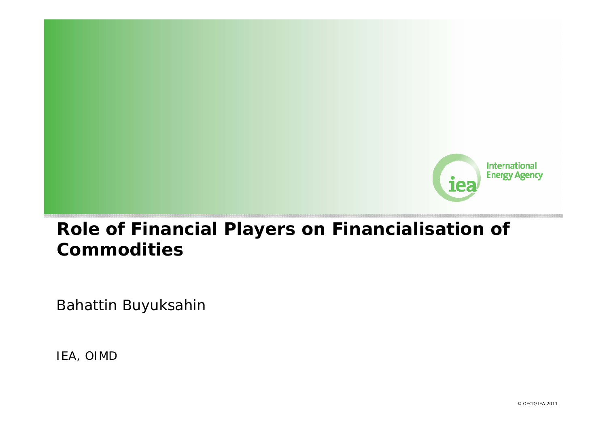

## **Role of Financial Players on Financialisation of Commodities**

Bahattin Buyuksahin

IEA, OIMD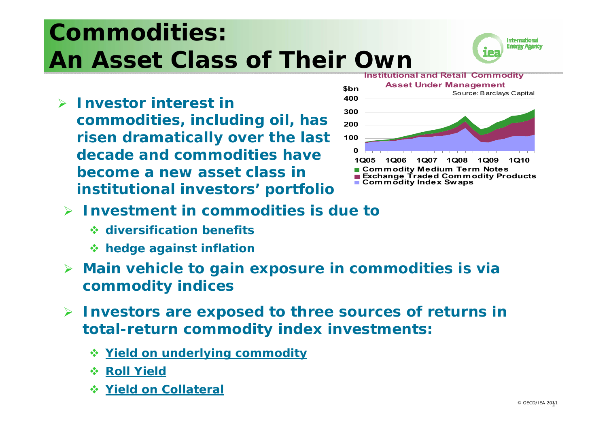# **Commodities: An Asset Class of Their Own**



 *Investor interest in commodities, including oil, has risen dramatically over the last decade and commodities have become a new asset class in institutional investors' portfolio*



- $\triangleright$  *Investment in commodities* **is due to** 
	- **diversification benefits**
	- **hedge against inflation**
- $\blacktriangleright$  **Main vehicle to gain exposure in commodities is via commodity indices**
- $\blacktriangleright$  **Investors are exposed to three sources of returns in total-return commodity index investments:**
	- **Yield on underlying commodity**
	- $\div$  **Roll Yield**
	- **Yield on Collateral**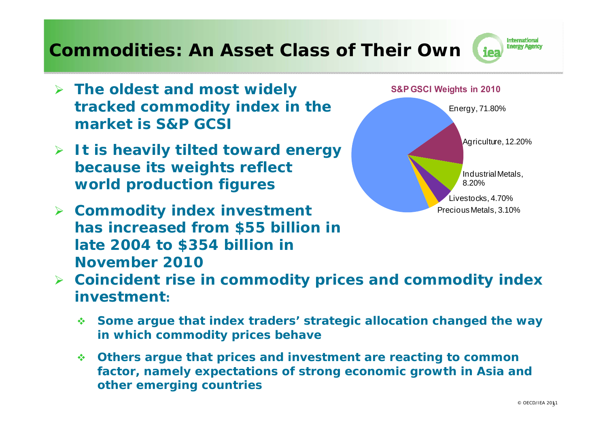#### **Commodities: An Asset Class of Their Own**

- *The oldest and most widely tracked commodity index in the market is S&P GCSI*
- *It is heavily tilted toward energy because its weights reflect world production figures*
- *Commodity index investment has increased from \$55 billion in late 2004 to \$354 billion in November 2010*



- *Coincident rise in commodity prices and commodity index investment:*
	- **Some argue that index traders' strategic allocation changed the way in which commodity prices behave**
	- $\mathbf{A}$  **Others argue that prices and investment are reacting to common factor, namely expectations of strong economic growth in Asia and other emerging countries**

**International Energy Agency**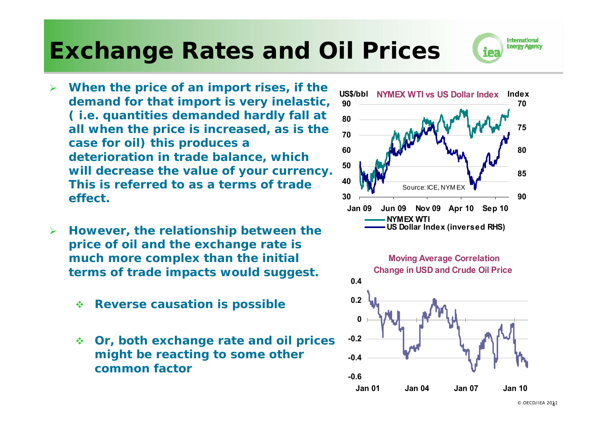## **Exchange Rates and Oil Prices**

- $\blacktriangleright$  *When the price of an import rises, if the demand for that import is very inelastic, ( i.e. quantities demanded hardly fall at all when the price is increased, as is the case for oil) this produces a deterioration in trade balance, which will decrease the value of your currency. This is referred to as a terms of trade effect.*
- ➤ *However, the relationship between the price of oil and the exchange rate is much more complex than the initial terms of trade impacts would suggest.*
	- $\mathcal{L}_{\mathcal{S}}$ *Reverse causation is possible*
	- $\mathcal{L}(\mathbf{z})$  . *Or, both exchange rate and oil prices might be reacting to some other common factor*





International **Energy Agency**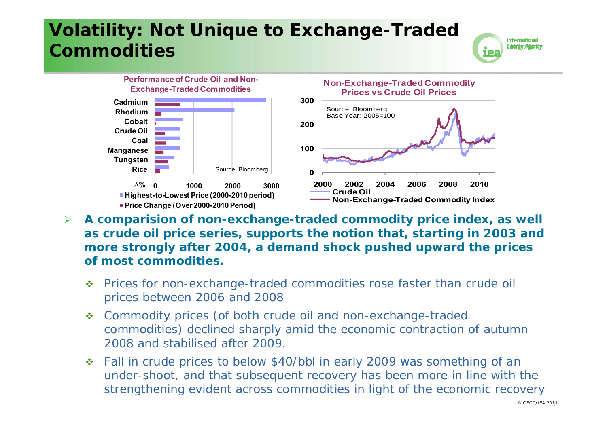## **Volatility: Not Unique to Exchange-Traded Commodities**





- $\blacktriangleright$  *A comparision of non-exchange-traded commodity price index, as well as crude oil price series, supports the notion that, starting in 2003 and more strongly after 2004, a demand shock pushed upward the prices of most commodities.*
	- $\mathcal{L}_{\mathcal{S}}^{\mathcal{S}_{\mathcal{S}}}$  Prices for non-exchange-traded commodities rose faster than crude oil prices between 2006 and 2008
	- $\mathcal{L}(\mathbf{z})$  Commodity prices (of both crude oil and non-exchange-traded commodities) declined sharply amid the economic contraction of autumn 2008 and stabilised after 2009.
	- ◆ Fall in crude prices to below \$40/bbl in early 2009 was something of an under-shoot, and that subsequent recovery has been more in line with the strengthening evident across commodities in light of the economic recovery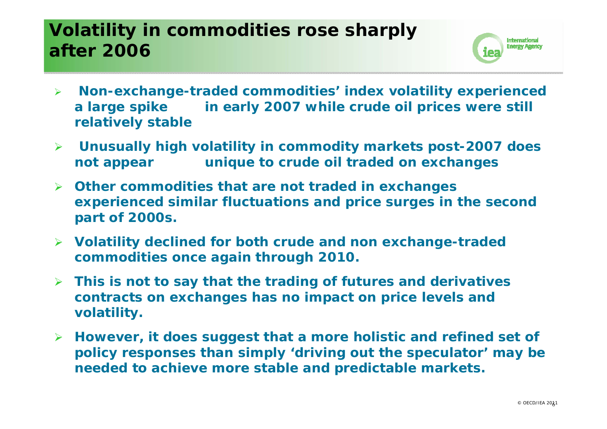## **Volatility in commodities rose sharply after 2006**



- $\blacktriangleright$  *Non-exchange-traded commodities' index volatility experienced a large spike in early 2007 while crude oil prices were still relatively stable*
- $\blacktriangleright$  *Unusually high volatility in commodity markets post-2007 does not appear unique to crude oil traded on exchanges*
- *Other commodities that are not traded in exchanges experienced similar fluctuations and price surges in the second part of 2000s.*
- *Volatility declined for both crude and non exchange-traded commodities once again through 2010.*
- $\blacktriangleright$  *This is not to say that the trading of futures and derivatives contracts on exchanges has no impact on price levels and volatility.*
- *However, it does suggest that a more holistic and refined set of policy responses than simply 'driving out the speculator' may be needed to achieve more stable and predictable markets.*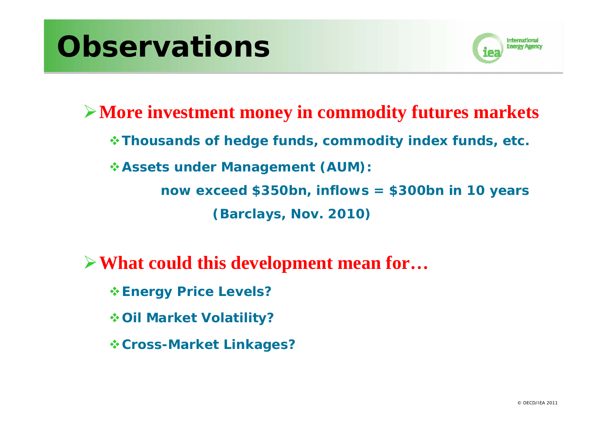# **Observations**



**More investment money in commodity futures markets** *Thousands of hedge funds, commodity index funds, etc. Assets under Management (AUM): now exceed \$350bn, inflows = \$300bn in 10 years (Barclays, Nov. 2010)*

**What could this development mean for…**

*Energy Price Levels?*

*Oil Market Volatility?*

*Cross-Market Linkages?*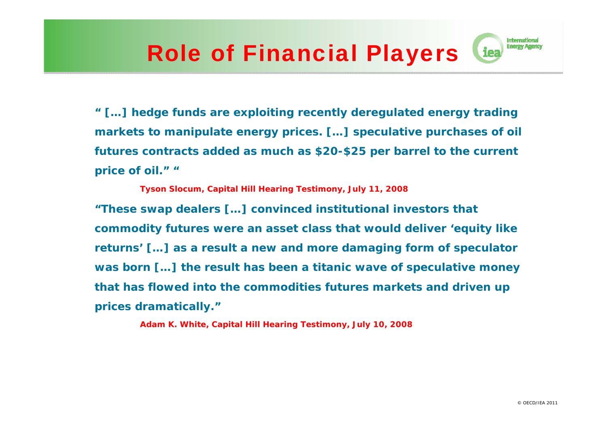## Role of Financial Players

*" […] hedge funds are exploiting recently deregulated energy trading markets to manipulate energy prices. […] speculative purchases of oil futures contracts added as much as \$20-\$25 per barrel to the current price of oil." "*

*Tyson Slocum, Capital Hill Hearing Testimony, July 11, 2008 "These swap dealers […] convinced institutional investors that commodity futures were an asset class that would deliver 'equity like returns' […] as a result a new and more damaging form of speculator was born […] the result has been a titanic wave of speculative money that has flowed into the commodities futures markets and driven up prices dramatically."*

*Adam K. White, Capital Hill Hearing Testimony, July 10, 2008*

**International Energy Agency**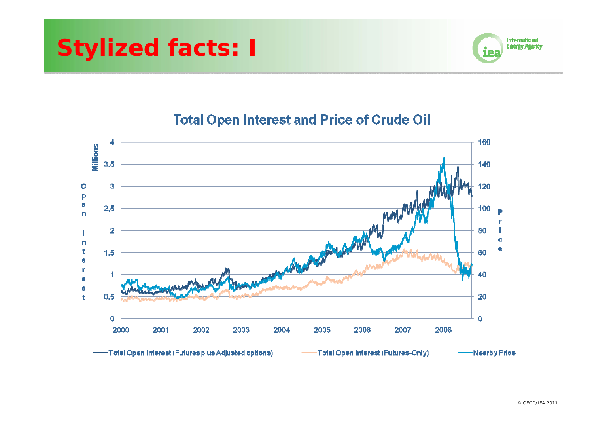



#### **Total Open Interest and Price of Crude Oil**

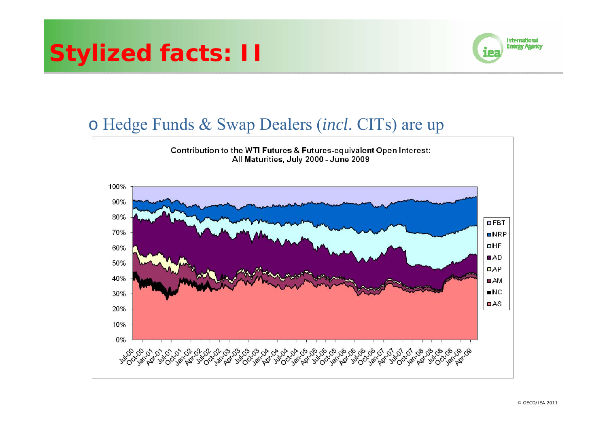## **Stylized facts: II**



#### o Hedge Funds & Swap Dealers (*incl*. CITs) are up

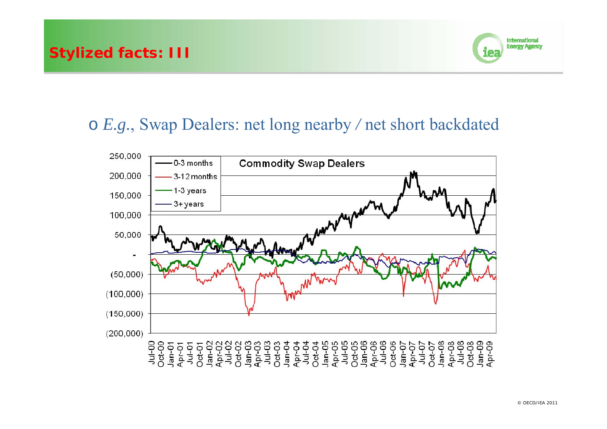

#### o *E.g.*, Swap Dealers: net long nearby */* net short backdated

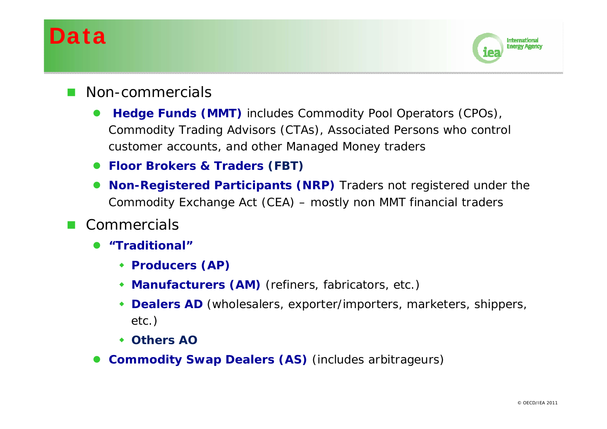## Data



- Non-commercials
	- $\bullet$  **Hedge Funds (MMT)** includes Commodity Pool Operators (CPOs), Commodity Trading Advisors (CTAs), Associated Persons who control customer accounts, and other Managed Money traders
	- **Floor Brokers & Traders (FBT)**
	- $\bullet$  **Non-Registered Participants (NRP)** Traders not registered under the Commodity Exchange Act (CEA) – mostly non MMT financial traders
- Г **Commercials** 
	- $\bullet$  **"Traditional"**
		- **Producers (AP)**
		- **Manufacturers (AM)** (refiners, fabricators, etc.)
		- **Dealers AD** (wholesalers, exporter/importers, marketers, shippers, etc.)
		- **Others AO**
	- **Commodity Swap Dealers (AS)** (includes arbitrageurs)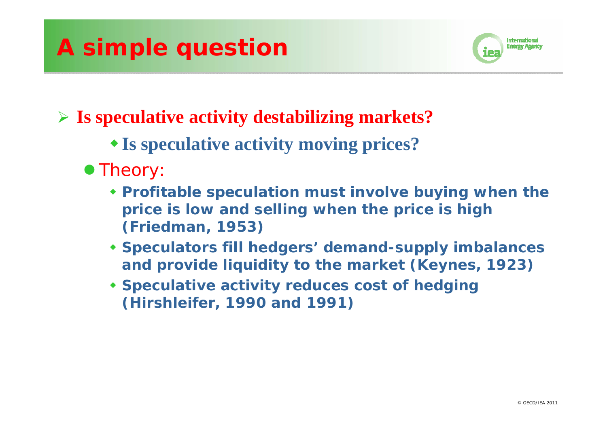## **A simple question**



## **Is speculative activity destabilizing markets?**

- **Is speculative activity moving prices?**
- Theory
	- **Profitable speculation must involve buying when the price is low and selling when the price is high (Friedman, 1953)**
	- **Speculators fill hedgers' demand-supply imbalances and provide liquidity to the market (Keynes, 1923)**
	- **Speculative activity reduces cost of hedging (Hirshleifer, 1990 and 1991)**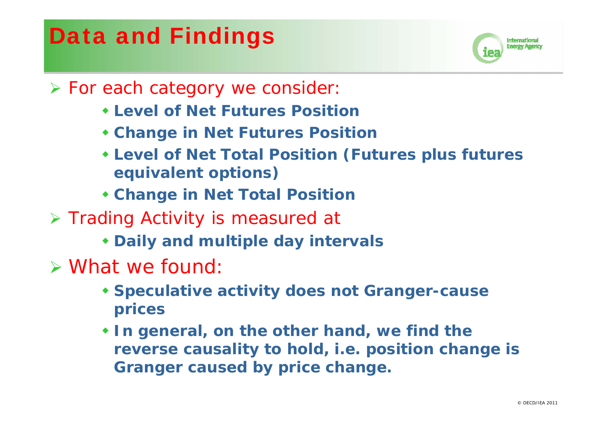## Data and Findings



- > For each category we consider
	- **Level of Net Futures Position**
	- **Change in Net Futures Position**
	- **Level of Net Total Position (Futures plus futures equivalent options)**
	- **Change in Net Total Position**
- > Trading Activity is measured at
	- **Daily and multiple day intervals**
- What we found:
	- **Speculative activity does not Granger-cause prices**
	- **In general, on the other hand, we find the reverse causality to hold, i.e. position change is Granger caused by price change.**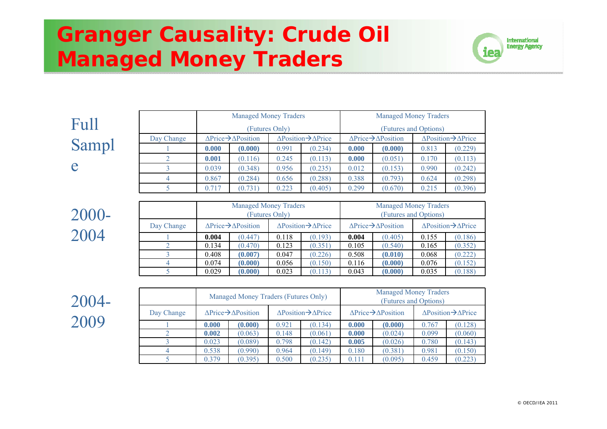## **Granger Causality: Crude Oil Managed Money Traders**



|                 |            | <b>Managed Money Traders</b>                   |                                                                |       |                                                  |                                                       | <b>Managed Money Traders</b>                                   |       |                                                  |  |  |
|-----------------|------------|------------------------------------------------|----------------------------------------------------------------|-------|--------------------------------------------------|-------------------------------------------------------|----------------------------------------------------------------|-------|--------------------------------------------------|--|--|
| $\mathrm{Full}$ |            |                                                | (Futures Only)                                                 |       |                                                  |                                                       |                                                                |       | (Futures and Options)                            |  |  |
|                 | Day Change |                                                | $\triangle \text{Price} \rightarrow \triangle \text{Position}$ |       | $\triangle Position \rightarrow \triangle Price$ |                                                       | $\triangle \text{Price} \rightarrow \triangle \text{Position}$ |       | $\triangle Position \rightarrow \triangle Price$ |  |  |
| Sampl           |            | 0.000                                          | (0.000)                                                        | 0.991 | (0.234)                                          | 0.000                                                 | (0.000)                                                        | 0.813 | (0.229)                                          |  |  |
|                 |            | 0.001                                          | (0.116)                                                        | 0.245 | (0.113)                                          | 0.000                                                 | (0.051)                                                        | 0.170 | (0.113)                                          |  |  |
| e               |            | 0.039                                          | (0.348)                                                        | 0.956 | (0.235)                                          | 0.012                                                 | (0.153)                                                        | 0.990 | (0.242)                                          |  |  |
|                 |            | 0.867                                          | (0.284)                                                        | 0.656 | (0.288)                                          | 0.388                                                 | (0.793)                                                        | 0.624 | (0.298)                                          |  |  |
|                 |            | 0.717                                          | (0.731)                                                        | 0.223 | (0.405)                                          | 0.299                                                 | (0.670)                                                        | 0.215 | (0.396)                                          |  |  |
|                 |            |                                                |                                                                |       |                                                  |                                                       |                                                                |       |                                                  |  |  |
| 2000-           |            | <b>Managed Money Traders</b><br>(Futures Only) |                                                                |       |                                                  | <b>Managed Money Traders</b><br>(Futures and Options) |                                                                |       |                                                  |  |  |
|                 |            |                                                |                                                                |       |                                                  |                                                       |                                                                |       |                                                  |  |  |

| $\overline{\phantom{a}}$ |            |       | <b>Managed Money Traders</b>                         | (Futures Only) |                                                  | <b>Managed Money Traders</b><br>(Futures and Options) |                                                          |                                                  |         |  |
|--------------------------|------------|-------|------------------------------------------------------|----------------|--------------------------------------------------|-------------------------------------------------------|----------------------------------------------------------|--------------------------------------------------|---------|--|
|                          | Day Change |       | $\triangle$ Price $\rightarrow$ $\triangle$ Position |                | $\triangle Position \rightarrow \triangle Price$ |                                                       | $\Delta \text{Price} \rightarrow \Delta \text{Position}$ | $\triangle Position \rightarrow \triangle Price$ |         |  |
|                          |            | 0.004 | (0.447)                                              | 0.118          | (0.193)                                          | 0.004                                                 | (0.405)                                                  | 0.155                                            | (0.186) |  |
|                          |            | 0.134 | (0.470)                                              | 0.123          | (0.351)                                          | 0.105                                                 | (0.540)                                                  | 0.165                                            | (0.352) |  |
|                          |            | 0.408 | (0.007)                                              | 0.047          | (0.226)                                          | 0.508                                                 | (0.010)                                                  | 0.068                                            | (0.222) |  |
|                          |            | 0.074 | (0.000)                                              | 0.056          | (0.150)                                          | 0.116                                                 | (0.000)                                                  | 0.076                                            | (0.152) |  |
|                          |            | 0.029 | (0.000)                                              | 0.023          | (0.113)                                          | 0.043                                                 | (0.000)                                                  | 0.035                                            | (0.188) |  |

2004- 2009

2004

|            |                                                      | Managed Money Traders (Futures Only) |                                                  |         | <b>Managed Money Traders</b><br>(Futures and Options) |                                                      |                                                    |         |  |
|------------|------------------------------------------------------|--------------------------------------|--------------------------------------------------|---------|-------------------------------------------------------|------------------------------------------------------|----------------------------------------------------|---------|--|
| Day Change | $\triangle$ Price $\rightarrow$ $\triangle$ Position |                                      | $\triangle Position \rightarrow \triangle Price$ |         |                                                       | $\triangle$ Price $\rightarrow$ $\triangle$ Position | $\triangle$ Position $\rightarrow \triangle$ Price |         |  |
|            | 0.000                                                | (0.000)                              | 0.921                                            | (0.134) | 0.000                                                 | (0.000)                                              | 0.767                                              | (0.128) |  |
|            | 0.002                                                | (0.063)                              | 0.148                                            | (0.061) | 0.000                                                 | (0.024)                                              | 0.099                                              | (0.060) |  |
|            | 0.023                                                | (0.089)                              | 0.798                                            | (0.142) | 0.005                                                 | (0.026)                                              | 0.780                                              | (0.143) |  |
|            | 0.538                                                | (0.990)                              | 0.964                                            | (0.149) | 0.180                                                 | (0.381)                                              | 0.981                                              | (0.150) |  |
|            | 0.379                                                | (0.395)                              | 0.500                                            | (0.235) | 0.111                                                 | (0.095)                                              | 0.459                                              | (0.223) |  |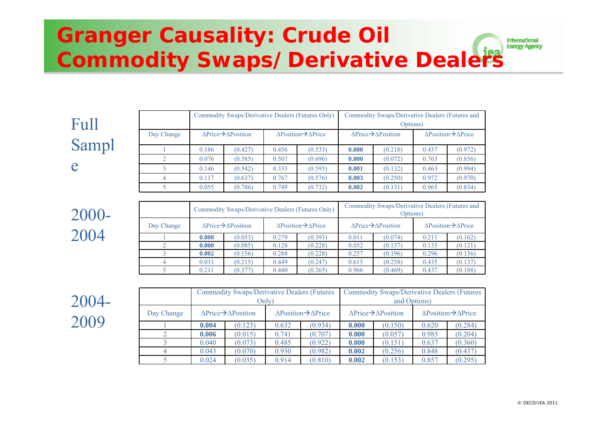#### **Granger Causality: Crude Oil International Energy Agency Commodity Swaps/Derivative Dealers**

| Full  |            | Commodity Swaps/Derivative Dealers (Futures Only)              |         |                                              |         | Commodity Swaps/Derivative Dealers (Futures and<br>Options) |         |                                                  |         |
|-------|------------|----------------------------------------------------------------|---------|----------------------------------------------|---------|-------------------------------------------------------------|---------|--------------------------------------------------|---------|
|       | Day Change | $\triangle \text{Price} \rightarrow \triangle \text{Position}$ |         | $\Delta$ Position $\rightarrow \Delta$ Price |         | $\Delta$ Price $\rightarrow$ $\Delta$ Position              |         | $\triangle Position \rightarrow \triangle Price$ |         |
| Sampl |            | 0.186                                                          | (0.427) | 0.456                                        | (0.533) | 0.000                                                       | (0.218) | 0.437                                            | (0.972) |
|       |            | 0.076                                                          | (0.585) | 0.507                                        | (0.696) | 0.000                                                       | (0.072) | 0.763                                            | (0.856) |
| e     |            | 0.146                                                          | (0.542) | 0.333                                        | (0.595) | 0.001                                                       | (0.132) | 0.463                                            | (0.994) |
|       |            | 0.117                                                          | (0.637) | 0.767                                        | (0.576) | 0.003                                                       | (0.250) | 0.972                                            | (0.970) |
|       |            | 0.055                                                          | (0.786) | 0.749                                        | (0.732) | 0.002                                                       | (0.131) | 0.965                                            | (0.834) |

|            |                                                    | Commodity Swaps/Derivative Dealers (Futures Only) |                                                  |         | Commodity Swaps/Derivative Dealers (Futures and<br>Options) |         |                                              |         |  |
|------------|----------------------------------------------------|---------------------------------------------------|--------------------------------------------------|---------|-------------------------------------------------------------|---------|----------------------------------------------|---------|--|
| Day Change | $\triangle$ Price $\rightarrow \triangle$ Position |                                                   | $\triangle Position \rightarrow \triangle Price$ |         | $\Delta$ Price $\rightarrow$ $\Delta$ Position              |         | $\Delta$ Position $\rightarrow \Delta$ Price |         |  |
|            | 0.000                                              | (0.053)                                           | 0.279                                            | (0.393) | 0.011                                                       | (0.074) | 0.211                                        | (0.162) |  |
|            | 0.000                                              | (0.085)                                           | 0.128                                            | (0.228) | 0.052                                                       | (0.157) | 0.135                                        | (0.121) |  |
|            | 0.002                                              | (0.156)                                           | 0.288                                            | (0.228) | 0.257                                                       | (0.196) | 0.296                                        | (0.136) |  |
|            | 0.031                                              | (0.215)                                           | 0.449                                            | (0.247) | 0.615                                                       | (0.258) | 0.435                                        | (0.137) |  |
|            | 0.211                                              | (0.377)                                           | 0.440                                            | (0.265) | 0.966                                                       | (0.469) | 0.437                                        | (0.188) |  |

2004- 2009

2000-

2004

|            |                                                      | <b>Commodity Swaps/Derivative Dealers (Futures)</b> |                                                  |         | <b>Commodity Swaps/Derivative Dealers (Futures)</b> |                                                      |                                                  |         |  |
|------------|------------------------------------------------------|-----------------------------------------------------|--------------------------------------------------|---------|-----------------------------------------------------|------------------------------------------------------|--------------------------------------------------|---------|--|
|            |                                                      |                                                     | Only)                                            |         | and Options)                                        |                                                      |                                                  |         |  |
| Day Change | $\triangle$ Price $\rightarrow$ $\triangle$ Position |                                                     | $\triangle Position \rightarrow \triangle Price$ |         |                                                     | $\triangle$ Price $\rightarrow$ $\triangle$ Position | $\triangle Position \rightarrow \triangle Price$ |         |  |
|            | 0.004                                                | (0.123)                                             | 0.632                                            | (0.934) | 0.000                                               | (0.150)                                              | 0.620                                            | (0.284) |  |
|            | 0.006                                                | (0.015)                                             | 0.741                                            | (0.707) | 0.000                                               | (0.057)                                              | 0.985                                            | (0.204) |  |
|            | 0.040                                                | (0.073)                                             | 0.485                                            | (0.922) | 0.000                                               | (0.151)                                              | 0.637                                            | (0.360) |  |
|            | 0.043                                                | (0.070)                                             | 0.930                                            | (0.982) | 0.002                                               | (0.256)                                              | 0.848                                            | (0.437) |  |
|            | 0.024                                                | (0.035)                                             | 0.914                                            | (0.810) | 0.002                                               | (0.153)                                              | 0.857                                            | (0.295) |  |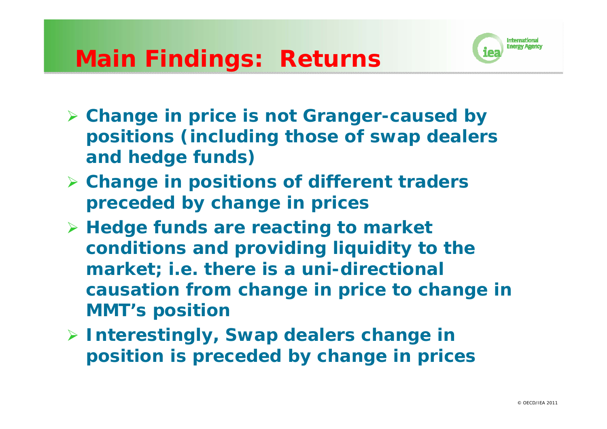## **Main Findings: Returns**



- *Change in price is not Granger-caused by positions (including those of swap dealers and hedge funds)*
- *Change in positions of different traders preceded by change in prices*
- *Hedge funds are reacting to market conditions and providing liquidity to the market; i.e. there is a uni-directional causation from change in price to change in MMT's position*
- *Interestingly, Swap dealers change in position is preceded by change in prices*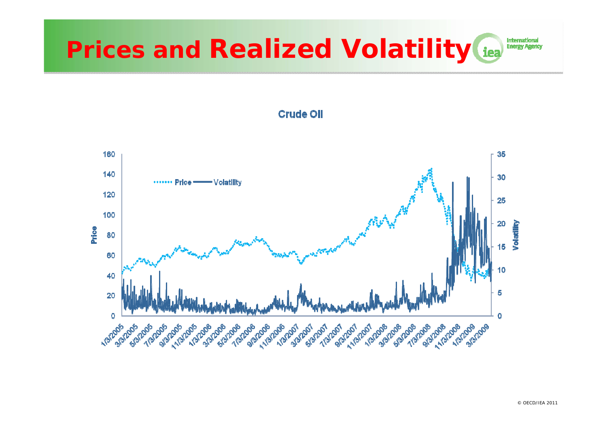#### International **Prices and Realized Volatility iea Energy Agency**



**Crude OII**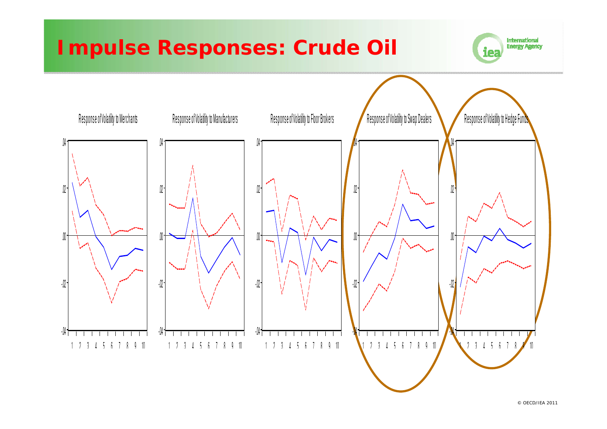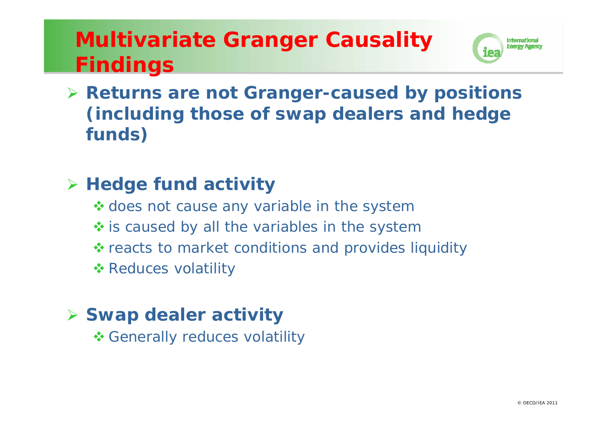## **Multivariate Granger Causality Findings**



 **Returns are not Granger-caused by positions (including those of swap dealers and hedge funds)**

### **Hedge fund activity**

- \* does not cause any variable in the system
- $\diamond$  **is caused by all the variables in the system**
- ❖ reacts to market conditions and provides liquidity
- **\*** Reduces volatility

## **Swap dealer activity**

**❖ Generally reduces volatility**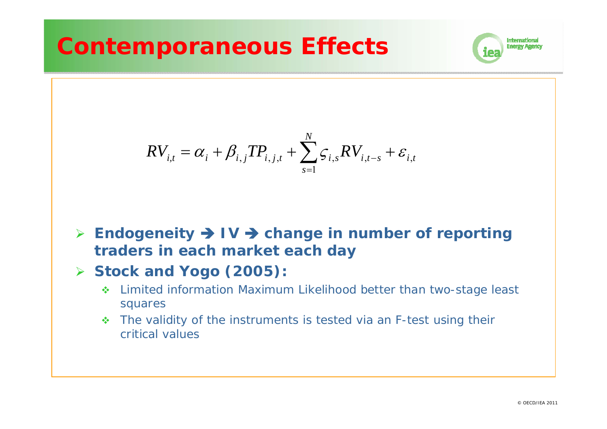## **Contemporaneous Effects**



$$
RV_{i,t} = \alpha_i + \beta_{i,j} TP_{i,j,t} + \sum_{s=1}^{N} \zeta_{i,s} RV_{i,t-s} + \varepsilon_{i,t}
$$

- **Endogeneity IV change in number of reporting traders in each market each day**
- **Stock and Yogo (2005):** 
	- Limited information Maximum Likelihood better than two-stage least squares
	- The validity of the instruments is tested via an F-test using their critical values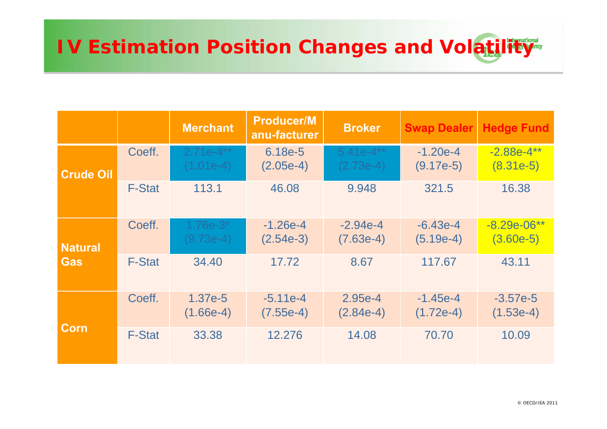# **IV Estimation Position Changes and Volatility**

|                  |               | <b>Merchant</b>            | <b>Producer/M</b><br>anu-facturer | <b>Broker</b>              | <b>Swap Dealer</b>        | <b>Hedge Fund</b>            |
|------------------|---------------|----------------------------|-----------------------------------|----------------------------|---------------------------|------------------------------|
| <b>Crude Oil</b> | Coeff.        | $2.71e-4**$<br>$(1.01e-4)$ | 6.18e-5<br>$(2.05e-4)$            | $5.41e-4**$<br>$(2.73e-4)$ | $-1.20e-4$<br>$(9.17e-5)$ | $-2.88e-4***$<br>$(8.31e-5)$ |
|                  | <b>F-Stat</b> | 113.1                      | 46.08                             | 9.948                      | 321.5                     | 16.38                        |
| <b>Natural</b>   | Coeff.        | $1.76e-3*$<br>$(9.73e-4)$  | $-1.26e-4$<br>$(2.54e-3)$         | $-2.94e-4$<br>$(7.63e-4)$  | $-6.43e-4$<br>$(5.19e-4)$ | $-8.29e-06**$<br>$(3.60e-5)$ |
| Gas              | <b>F-Stat</b> | 34.40                      | 17.72                             | 8.67                       | 117.67                    | 43.11                        |
|                  | Coeff.        | 1.37e-5<br>$(1.66e-4)$     | $-5.11e-4$<br>$(7.55e-4)$         | 2.95e-4<br>$(2.84e-4)$     | $-1.45e-4$<br>$(1.72e-4)$ | $-3.57e-5$<br>$(1.53e-4)$    |
| <b>Corn</b>      | <b>F-Stat</b> | 33.38                      | 12.276                            | 14.08                      | 70.70                     | 10.09                        |